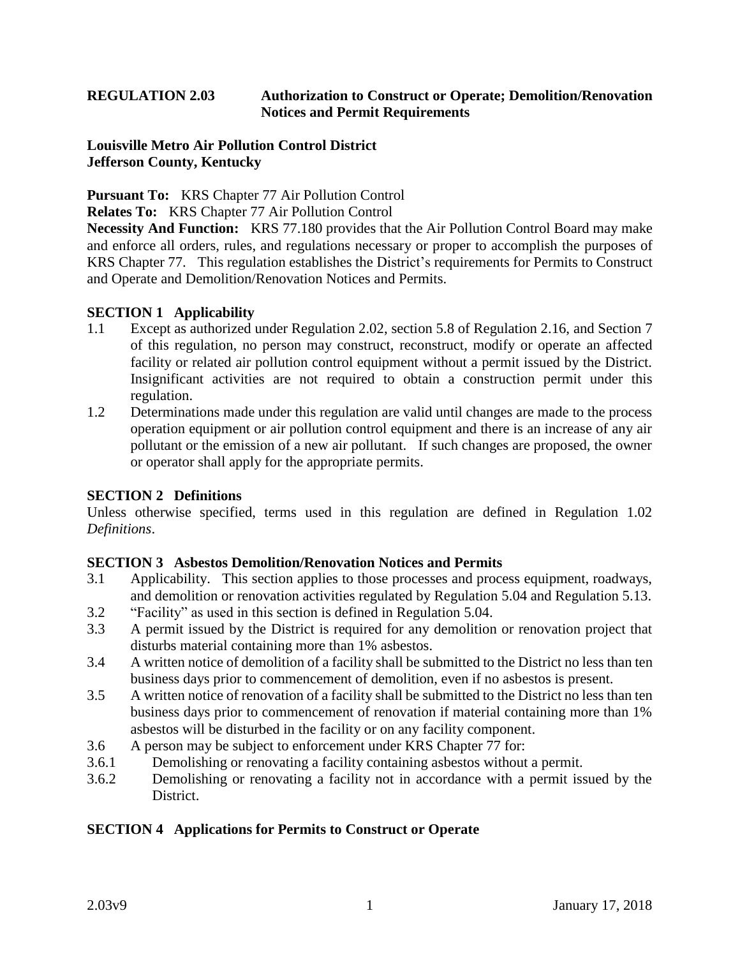# **REGULATION 2.03 Authorization to Construct or Operate; Demolition/Renovation Notices and Permit Requirements**

#### **Louisville Metro Air Pollution Control District Jefferson County, Kentucky**

**Pursuant To:** KRS Chapter 77 Air Pollution Control

**Relates To:** KRS Chapter 77 Air Pollution Control

**Necessity And Function:** KRS 77.180 provides that the Air Pollution Control Board may make and enforce all orders, rules, and regulations necessary or proper to accomplish the purposes of KRS Chapter 77. This regulation establishes the District's requirements for Permits to Construct and Operate and Demolition/Renovation Notices and Permits.

### **SECTION 1 Applicability**

- 1.1 Except as authorized under Regulation 2.02, section 5.8 of Regulation 2.16, and Section 7 of this regulation, no person may construct, reconstruct, modify or operate an affected facility or related air pollution control equipment without a permit issued by the District. Insignificant activities are not required to obtain a construction permit under this regulation.
- 1.2 Determinations made under this regulation are valid until changes are made to the process operation equipment or air pollution control equipment and there is an increase of any air pollutant or the emission of a new air pollutant. If such changes are proposed, the owner or operator shall apply for the appropriate permits.

### **SECTION 2 Definitions**

Unless otherwise specified, terms used in this regulation are defined in Regulation 1.02 *Definitions*.

### **SECTION 3 Asbestos Demolition/Renovation Notices and Permits**

- 3.1 Applicability. This section applies to those processes and process equipment, roadways, and demolition or renovation activities regulated by Regulation 5.04 and Regulation 5.13.
- 3.2 "Facility" as used in this section is defined in Regulation 5.04.
- 3.3 A permit issued by the District is required for any demolition or renovation project that disturbs material containing more than 1% asbestos.
- 3.4 A written notice of demolition of a facility shall be submitted to the District no less than ten business days prior to commencement of demolition, even if no asbestos is present.
- 3.5 A written notice of renovation of a facility shall be submitted to the District no less than ten business days prior to commencement of renovation if material containing more than 1% asbestos will be disturbed in the facility or on any facility component.
- 3.6 A person may be subject to enforcement under KRS Chapter 77 for:
- 3.6.1 Demolishing or renovating a facility containing asbestos without a permit.
- 3.6.2 Demolishing or renovating a facility not in accordance with a permit issued by the District.

### **SECTION 4 Applications for Permits to Construct or Operate**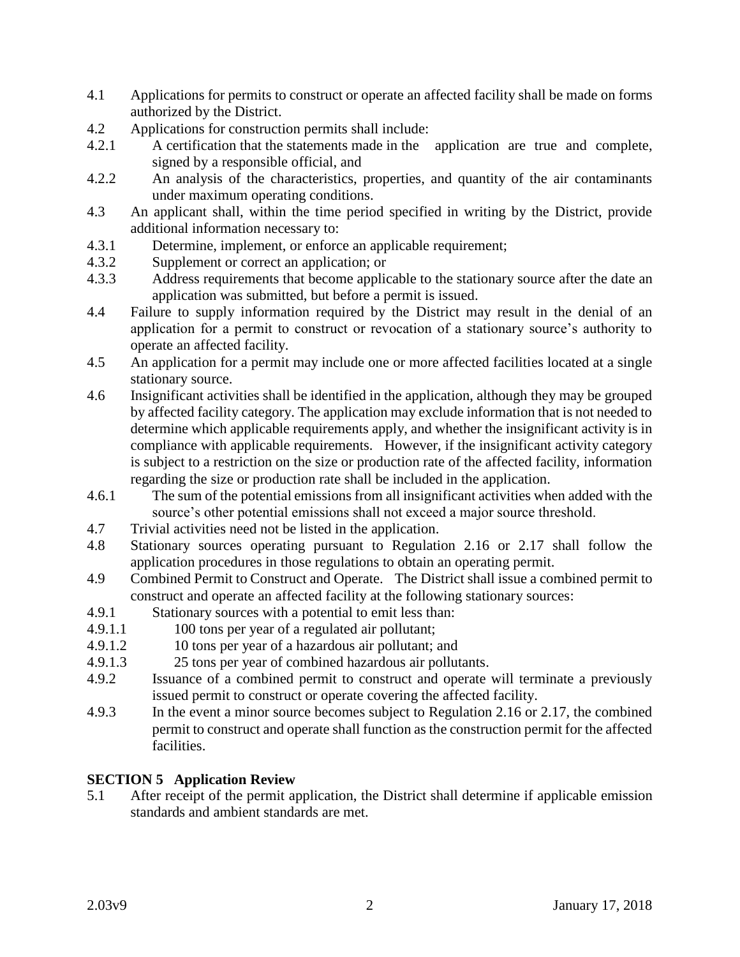- 4.1 Applications for permits to construct or operate an affected facility shall be made on forms authorized by the District.
- 4.2 Applications for construction permits shall include:
- 4.2.1 A certification that the statements made in the application are true and complete, signed by a responsible official, and
- 4.2.2 An analysis of the characteristics, properties, and quantity of the air contaminants under maximum operating conditions.
- 4.3 An applicant shall, within the time period specified in writing by the District, provide additional information necessary to:
- 4.3.1 Determine, implement, or enforce an applicable requirement;
- 4.3.2 Supplement or correct an application; or
- 4.3.3 Address requirements that become applicable to the stationary source after the date an application was submitted, but before a permit is issued.
- 4.4 Failure to supply information required by the District may result in the denial of an application for a permit to construct or revocation of a stationary source's authority to operate an affected facility.
- 4.5 An application for a permit may include one or more affected facilities located at a single stationary source.
- 4.6 Insignificant activities shall be identified in the application, although they may be grouped by affected facility category. The application may exclude information that is not needed to determine which applicable requirements apply, and whether the insignificant activity is in compliance with applicable requirements. However, if the insignificant activity category is subject to a restriction on the size or production rate of the affected facility, information regarding the size or production rate shall be included in the application.
- 4.6.1 The sum of the potential emissions from all insignificant activities when added with the source's other potential emissions shall not exceed a major source threshold.
- 4.7 Trivial activities need not be listed in the application.
- 4.8 Stationary sources operating pursuant to Regulation 2.16 or 2.17 shall follow the application procedures in those regulations to obtain an operating permit.
- 4.9 Combined Permit to Construct and Operate. The District shall issue a combined permit to construct and operate an affected facility at the following stationary sources:
- 4.9.1 Stationary sources with a potential to emit less than:
- 4.9.1.1 100 tons per year of a regulated air pollutant;
- 4.9.1.2 10 tons per year of a hazardous air pollutant; and
- 4.9.1.3 25 tons per year of combined hazardous air pollutants.
- 4.9.2 Issuance of a combined permit to construct and operate will terminate a previously issued permit to construct or operate covering the affected facility.
- 4.9.3 In the event a minor source becomes subject to Regulation 2.16 or 2.17, the combined permit to construct and operate shall function as the construction permit for the affected facilities.

# **SECTION 5 Application Review**

5.1 After receipt of the permit application, the District shall determine if applicable emission standards and ambient standards are met.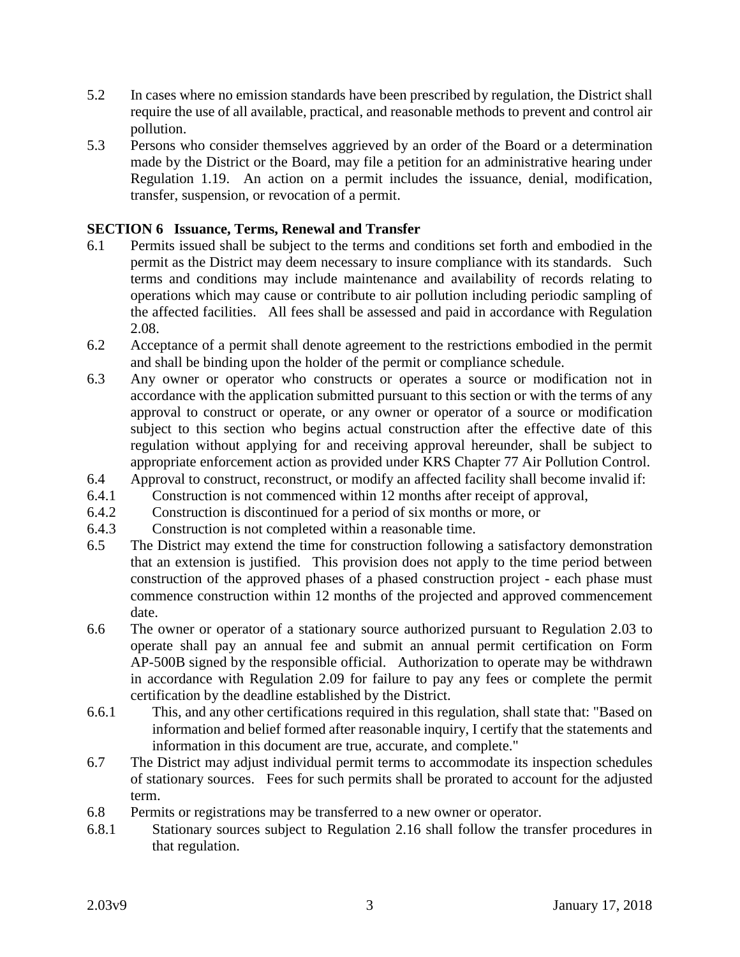- 5.2 In cases where no emission standards have been prescribed by regulation, the District shall require the use of all available, practical, and reasonable methods to prevent and control air pollution.
- 5.3 Persons who consider themselves aggrieved by an order of the Board or a determination made by the District or the Board, may file a petition for an administrative hearing under Regulation 1.19. An action on a permit includes the issuance, denial, modification, transfer, suspension, or revocation of a permit.

# **SECTION 6 Issuance, Terms, Renewal and Transfer**

- 6.1 Permits issued shall be subject to the terms and conditions set forth and embodied in the permit as the District may deem necessary to insure compliance with its standards. Such terms and conditions may include maintenance and availability of records relating to operations which may cause or contribute to air pollution including periodic sampling of the affected facilities. All fees shall be assessed and paid in accordance with Regulation 2.08.
- 6.2 Acceptance of a permit shall denote agreement to the restrictions embodied in the permit and shall be binding upon the holder of the permit or compliance schedule.
- 6.3 Any owner or operator who constructs or operates a source or modification not in accordance with the application submitted pursuant to this section or with the terms of any approval to construct or operate, or any owner or operator of a source or modification subject to this section who begins actual construction after the effective date of this regulation without applying for and receiving approval hereunder, shall be subject to appropriate enforcement action as provided under KRS Chapter 77 Air Pollution Control.
- 6.4 Approval to construct, reconstruct, or modify an affected facility shall become invalid if:
- 6.4.1 Construction is not commenced within 12 months after receipt of approval,
- 6.4.2 Construction is discontinued for a period of six months or more, or
- 6.4.3 Construction is not completed within a reasonable time.
- 6.5 The District may extend the time for construction following a satisfactory demonstration that an extension is justified. This provision does not apply to the time period between construction of the approved phases of a phased construction project - each phase must commence construction within 12 months of the projected and approved commencement date.
- 6.6 The owner or operator of a stationary source authorized pursuant to Regulation 2.03 to operate shall pay an annual fee and submit an annual permit certification on Form AP-500B signed by the responsible official. Authorization to operate may be withdrawn in accordance with Regulation 2.09 for failure to pay any fees or complete the permit certification by the deadline established by the District.
- 6.6.1 This, and any other certifications required in this regulation, shall state that: "Based on information and belief formed after reasonable inquiry, I certify that the statements and information in this document are true, accurate, and complete."
- 6.7 The District may adjust individual permit terms to accommodate its inspection schedules of stationary sources. Fees for such permits shall be prorated to account for the adjusted term.
- 6.8 Permits or registrations may be transferred to a new owner or operator.
- 6.8.1 Stationary sources subject to Regulation 2.16 shall follow the transfer procedures in that regulation.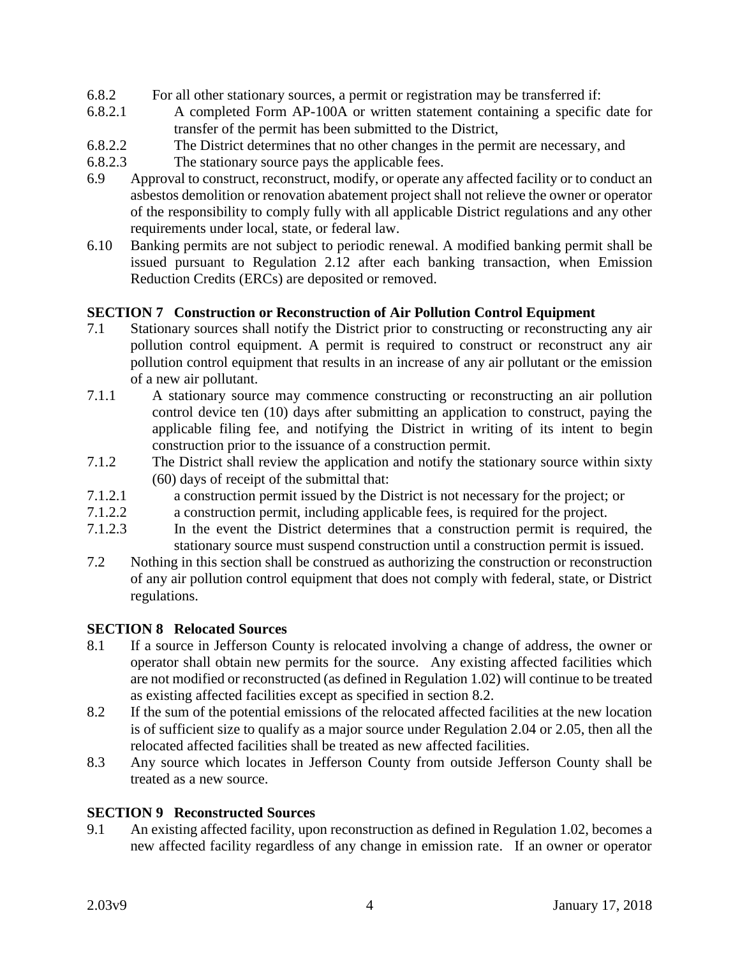- 6.8.2 For all other stationary sources, a permit or registration may be transferred if:
- 6.8.2.1 A completed Form AP-100A or written statement containing a specific date for transfer of the permit has been submitted to the District,
- 6.8.2.2 The District determines that no other changes in the permit are necessary, and
- 6.8.2.3 The stationary source pays the applicable fees.
- 6.9 Approval to construct, reconstruct, modify, or operate any affected facility or to conduct an asbestos demolition or renovation abatement project shall not relieve the owner or operator of the responsibility to comply fully with all applicable District regulations and any other requirements under local, state, or federal law.
- 6.10 Banking permits are not subject to periodic renewal. A modified banking permit shall be issued pursuant to Regulation 2.12 after each banking transaction, when Emission Reduction Credits (ERCs) are deposited or removed.

### **SECTION 7 Construction or Reconstruction of Air Pollution Control Equipment**

- 7.1 Stationary sources shall notify the District prior to constructing or reconstructing any air pollution control equipment. A permit is required to construct or reconstruct any air pollution control equipment that results in an increase of any air pollutant or the emission of a new air pollutant.
- 7.1.1 A stationary source may commence constructing or reconstructing an air pollution control device ten (10) days after submitting an application to construct, paying the applicable filing fee, and notifying the District in writing of its intent to begin construction prior to the issuance of a construction permit.
- 7.1.2 The District shall review the application and notify the stationary source within sixty (60) days of receipt of the submittal that:
- 7.1.2.1 a construction permit issued by the District is not necessary for the project; or
- 7.1.2.2 a construction permit, including applicable fees, is required for the project.
- 7.1.2.3 In the event the District determines that a construction permit is required, the stationary source must suspend construction until a construction permit is issued.
- 7.2 Nothing in this section shall be construed as authorizing the construction or reconstruction of any air pollution control equipment that does not comply with federal, state, or District regulations.

### **SECTION 8 Relocated Sources**

- 8.1 If a source in Jefferson County is relocated involving a change of address, the owner or operator shall obtain new permits for the source. Any existing affected facilities which are not modified or reconstructed (as defined in Regulation 1.02) will continue to be treated as existing affected facilities except as specified in section 8.2.
- 8.2 If the sum of the potential emissions of the relocated affected facilities at the new location is of sufficient size to qualify as a major source under Regulation 2.04 or 2.05, then all the relocated affected facilities shall be treated as new affected facilities.
- 8.3 Any source which locates in Jefferson County from outside Jefferson County shall be treated as a new source.

### **SECTION 9 Reconstructed Sources**

9.1 An existing affected facility, upon reconstruction as defined in Regulation 1.02, becomes a new affected facility regardless of any change in emission rate. If an owner or operator